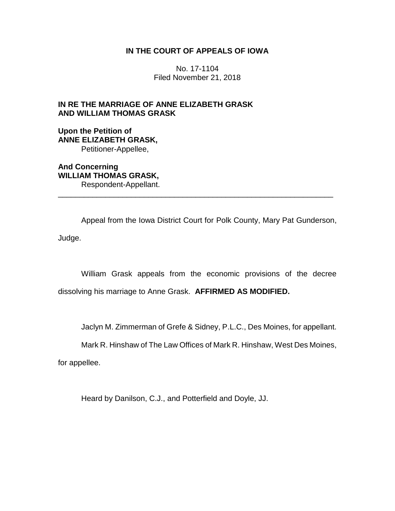# **IN THE COURT OF APPEALS OF IOWA**

No. 17-1104 Filed November 21, 2018

# **IN RE THE MARRIAGE OF ANNE ELIZABETH GRASK AND WILLIAM THOMAS GRASK**

**Upon the Petition of ANNE ELIZABETH GRASK,** Petitioner-Appellee,

**And Concerning WILLIAM THOMAS GRASK,** Respondent-Appellant. \_\_\_\_\_\_\_\_\_\_\_\_\_\_\_\_\_\_\_\_\_\_\_\_\_\_\_\_\_\_\_\_\_\_\_\_\_\_\_\_\_\_\_\_\_\_\_\_\_\_\_\_\_\_\_\_\_\_\_\_\_\_\_\_

Appeal from the Iowa District Court for Polk County, Mary Pat Gunderson, Judge.

William Grask appeals from the economic provisions of the decree dissolving his marriage to Anne Grask. **AFFIRMED AS MODIFIED.**

Jaclyn M. Zimmerman of Grefe & Sidney, P.L.C., Des Moines, for appellant.

Mark R. Hinshaw of The Law Offices of Mark R. Hinshaw, West Des Moines,

for appellee.

Heard by Danilson, C.J., and Potterfield and Doyle, JJ.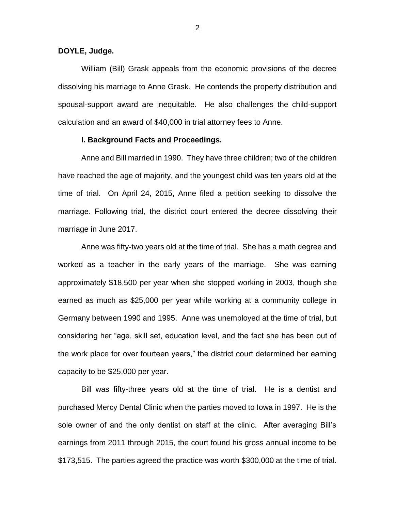#### **DOYLE, Judge.**

William (Bill) Grask appeals from the economic provisions of the decree dissolving his marriage to Anne Grask. He contends the property distribution and spousal-support award are inequitable. He also challenges the child-support calculation and an award of \$40,000 in trial attorney fees to Anne.

## **I. Background Facts and Proceedings.**

Anne and Bill married in 1990. They have three children; two of the children have reached the age of majority, and the youngest child was ten years old at the time of trial. On April 24, 2015, Anne filed a petition seeking to dissolve the marriage. Following trial, the district court entered the decree dissolving their marriage in June 2017.

Anne was fifty-two years old at the time of trial. She has a math degree and worked as a teacher in the early years of the marriage. She was earning approximately \$18,500 per year when she stopped working in 2003, though she earned as much as \$25,000 per year while working at a community college in Germany between 1990 and 1995. Anne was unemployed at the time of trial, but considering her "age, skill set, education level, and the fact she has been out of the work place for over fourteen years," the district court determined her earning capacity to be \$25,000 per year.

Bill was fifty-three years old at the time of trial. He is a dentist and purchased Mercy Dental Clinic when the parties moved to Iowa in 1997. He is the sole owner of and the only dentist on staff at the clinic. After averaging Bill's earnings from 2011 through 2015, the court found his gross annual income to be \$173,515. The parties agreed the practice was worth \$300,000 at the time of trial.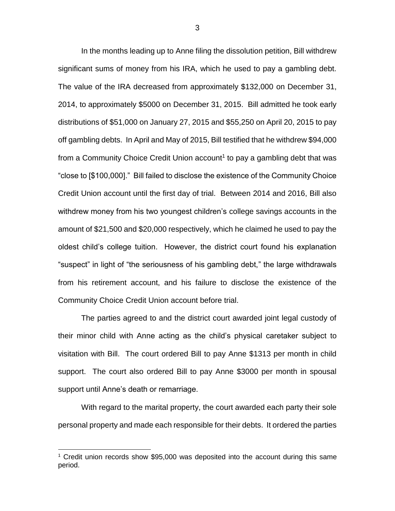In the months leading up to Anne filing the dissolution petition, Bill withdrew significant sums of money from his IRA, which he used to pay a gambling debt. The value of the IRA decreased from approximately \$132,000 on December 31, 2014, to approximately \$5000 on December 31, 2015. Bill admitted he took early distributions of \$51,000 on January 27, 2015 and \$55,250 on April 20, 2015 to pay off gambling debts. In April and May of 2015, Bill testified that he withdrew \$94,000 from a Community Choice Credit Union account<sup>1</sup> to pay a gambling debt that was "close to [\$100,000]." Bill failed to disclose the existence of the Community Choice Credit Union account until the first day of trial. Between 2014 and 2016, Bill also withdrew money from his two youngest children's college savings accounts in the amount of \$21,500 and \$20,000 respectively, which he claimed he used to pay the oldest child's college tuition. However, the district court found his explanation "suspect" in light of "the seriousness of his gambling debt," the large withdrawals from his retirement account, and his failure to disclose the existence of the Community Choice Credit Union account before trial.

The parties agreed to and the district court awarded joint legal custody of their minor child with Anne acting as the child's physical caretaker subject to visitation with Bill. The court ordered Bill to pay Anne \$1313 per month in child support. The court also ordered Bill to pay Anne \$3000 per month in spousal support until Anne's death or remarriage.

With regard to the marital property, the court awarded each party their sole personal property and made each responsible for their debts. It ordered the parties

 $\overline{a}$ 

<sup>&</sup>lt;sup>1</sup> Credit union records show \$95,000 was deposited into the account during this same period.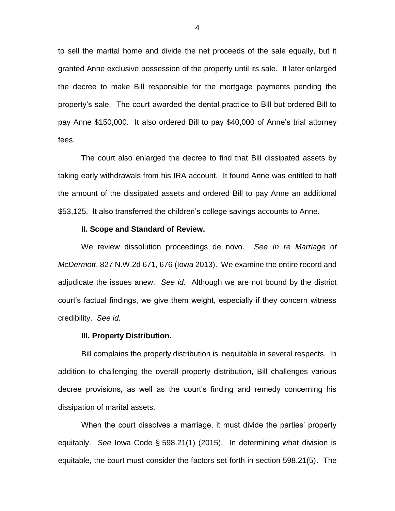to sell the marital home and divide the net proceeds of the sale equally, but it granted Anne exclusive possession of the property until its sale. It later enlarged the decree to make Bill responsible for the mortgage payments pending the property's sale. The court awarded the dental practice to Bill but ordered Bill to pay Anne \$150,000. It also ordered Bill to pay \$40,000 of Anne's trial attorney fees.

The court also enlarged the decree to find that Bill dissipated assets by taking early withdrawals from his IRA account. It found Anne was entitled to half the amount of the dissipated assets and ordered Bill to pay Anne an additional \$53,125. It also transferred the children's college savings accounts to Anne.

#### **II. Scope and Standard of Review.**

We review dissolution proceedings de novo. *See In re Marriage of McDermott*, 827 N.W.2d 671, 676 (Iowa 2013). We examine the entire record and adjudicate the issues anew. *See id.* Although we are not bound by the district court's factual findings, we give them weight, especially if they concern witness credibility. *See id.*

#### **III. Property Distribution.**

Bill complains the properly distribution is inequitable in several respects. In addition to challenging the overall property distribution, Bill challenges various decree provisions, as well as the court's finding and remedy concerning his dissipation of marital assets.

When the court dissolves a marriage, it must divide the parties' property equitably. *See* Iowa Code § 598.21(1) (2015). In determining what division is equitable, the court must consider the factors set forth in section 598.21(5). The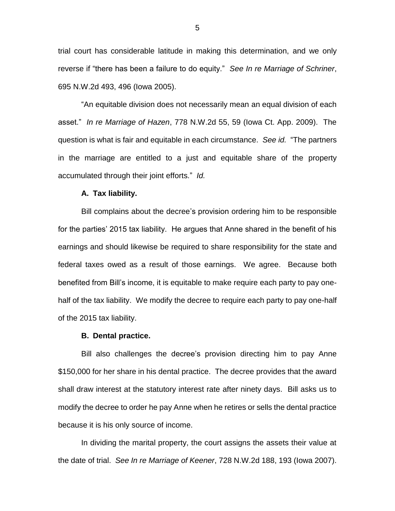trial court has considerable latitude in making this determination, and we only reverse if "there has been a failure to do equity." *See In re Marriage of Schriner*, 695 N.W.2d 493, 496 (Iowa 2005).

"An equitable division does not necessarily mean an equal division of each asset." *In re Marriage of Hazen*, 778 N.W.2d 55, 59 (Iowa Ct. App. 2009). The question is what is fair and equitable in each circumstance. *See id.* "The partners in the marriage are entitled to a just and equitable share of the property accumulated through their joint efforts." *Id.*

### **A. Tax liability.**

Bill complains about the decree's provision ordering him to be responsible for the parties' 2015 tax liability. He argues that Anne shared in the benefit of his earnings and should likewise be required to share responsibility for the state and federal taxes owed as a result of those earnings. We agree. Because both benefited from Bill's income, it is equitable to make require each party to pay onehalf of the tax liability. We modify the decree to require each party to pay one-half of the 2015 tax liability.

## **B. Dental practice.**

Bill also challenges the decree's provision directing him to pay Anne \$150,000 for her share in his dental practice. The decree provides that the award shall draw interest at the statutory interest rate after ninety days. Bill asks us to modify the decree to order he pay Anne when he retires or sells the dental practice because it is his only source of income.

In dividing the marital property, the court assigns the assets their value at the date of trial. *See In re Marriage of Keener*, 728 N.W.2d 188, 193 (Iowa 2007).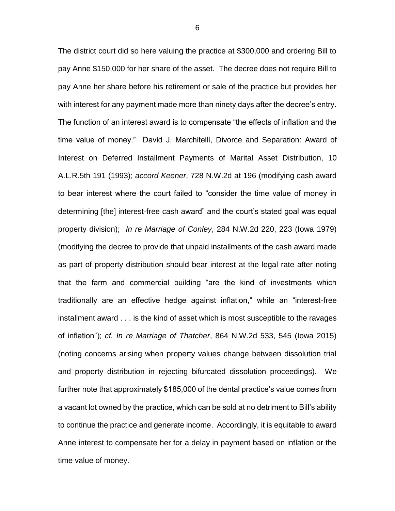The district court did so here valuing the practice at \$300,000 and ordering Bill to pay Anne \$150,000 for her share of the asset. The decree does not require Bill to pay Anne her share before his retirement or sale of the practice but provides her with interest for any payment made more than ninety days after the decree's entry. The function of an interest award is to compensate "the effects of inflation and the time value of money." David J. Marchitelli, Divorce and Separation: Award of Interest on Deferred Installment Payments of Marital Asset Distribution, 10 A.L.R.5th 191 (1993); *accord Keener*, 728 N.W.2d at 196 (modifying cash award to bear interest where the court failed to "consider the time value of money in determining [the] interest-free cash award" and the court's stated goal was equal property division); *In re Marriage of Conley*, 284 N.W.2d 220, 223 (Iowa 1979) (modifying the decree to provide that unpaid installments of the cash award made as part of property distribution should bear interest at the legal rate after noting that the farm and commercial building "are the kind of investments which traditionally are an effective hedge against inflation," while an "interest-free installment award . . . is the kind of asset which is most susceptible to the ravages of inflation"); *cf. In re Marriage of Thatcher*, 864 N.W.2d 533, 545 (Iowa 2015) (noting concerns arising when property values change between dissolution trial and property distribution in rejecting bifurcated dissolution proceedings). We further note that approximately \$185,000 of the dental practice's value comes from a vacant lot owned by the practice, which can be sold at no detriment to Bill's ability to continue the practice and generate income. Accordingly, it is equitable to award Anne interest to compensate her for a delay in payment based on inflation or the time value of money.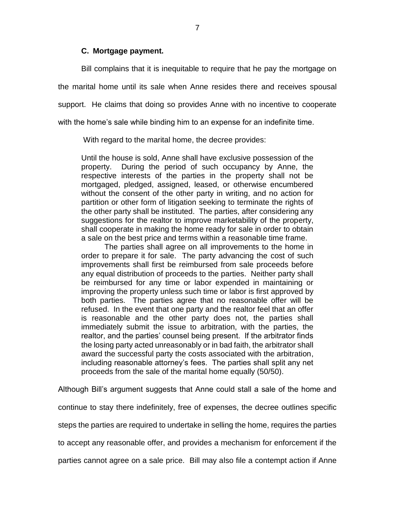## **C. Mortgage payment.**

Bill complains that it is inequitable to require that he pay the mortgage on the marital home until its sale when Anne resides there and receives spousal support. He claims that doing so provides Anne with no incentive to cooperate with the home's sale while binding him to an expense for an indefinite time.

With regard to the marital home, the decree provides:

Until the house is sold, Anne shall have exclusive possession of the property. During the period of such occupancy by Anne, the respective interests of the parties in the property shall not be mortgaged, pledged, assigned, leased, or otherwise encumbered without the consent of the other party in writing, and no action for partition or other form of litigation seeking to terminate the rights of the other party shall be instituted. The parties, after considering any suggestions for the realtor to improve marketability of the property, shall cooperate in making the home ready for sale in order to obtain a sale on the best price and terms within a reasonable time frame.

The parties shall agree on all improvements to the home in order to prepare it for sale. The party advancing the cost of such improvements shall first be reimbursed from sale proceeds before any equal distribution of proceeds to the parties. Neither party shall be reimbursed for any time or labor expended in maintaining or improving the property unless such time or labor is first approved by both parties. The parties agree that no reasonable offer will be refused. In the event that one party and the realtor feel that an offer is reasonable and the other party does not, the parties shall immediately submit the issue to arbitration, with the parties, the realtor, and the parties' counsel being present. If the arbitrator finds the losing party acted unreasonably or in bad faith, the arbitrator shall award the successful party the costs associated with the arbitration, including reasonable attorney's fees. The parties shall split any net proceeds from the sale of the marital home equally (50/50).

Although Bill's argument suggests that Anne could stall a sale of the home and continue to stay there indefinitely, free of expenses, the decree outlines specific steps the parties are required to undertake in selling the home, requires the parties to accept any reasonable offer, and provides a mechanism for enforcement if the parties cannot agree on a sale price. Bill may also file a contempt action if Anne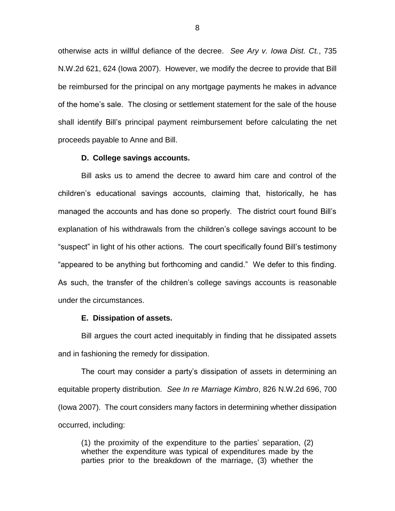otherwise acts in willful defiance of the decree. *See Ary v. Iowa Dist. Ct.*, 735 N.W.2d 621, 624 (Iowa 2007). However, we modify the decree to provide that Bill be reimbursed for the principal on any mortgage payments he makes in advance of the home's sale. The closing or settlement statement for the sale of the house shall identify Bill's principal payment reimbursement before calculating the net proceeds payable to Anne and Bill.

## **D. College savings accounts.**

Bill asks us to amend the decree to award him care and control of the children's educational savings accounts, claiming that, historically, he has managed the accounts and has done so properly. The district court found Bill's explanation of his withdrawals from the children's college savings account to be "suspect" in light of his other actions. The court specifically found Bill's testimony "appeared to be anything but forthcoming and candid." We defer to this finding. As such, the transfer of the children's college savings accounts is reasonable under the circumstances.

#### **E. Dissipation of assets.**

Bill argues the court acted inequitably in finding that he dissipated assets and in fashioning the remedy for dissipation.

The court may consider a party's dissipation of assets in determining an equitable property distribution. *See In re Marriage Kimbro*, 826 N.W.2d 696, 700 (Iowa 2007). The court considers many factors in determining whether dissipation occurred, including:

(1) the proximity of the expenditure to the parties' separation, (2) whether the expenditure was typical of expenditures made by the parties prior to the breakdown of the marriage, (3) whether the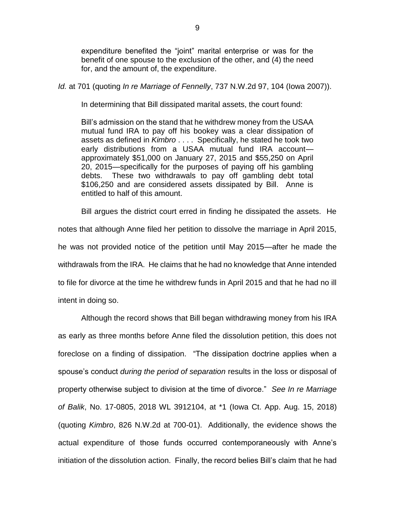expenditure benefited the "joint" marital enterprise or was for the benefit of one spouse to the exclusion of the other, and (4) the need for, and the amount of, the expenditure.

*Id.* at 701 (quoting *In re Marriage of Fennelly*, 737 N.W.2d 97, 104 (Iowa 2007)).

In determining that Bill dissipated marital assets, the court found:

Bill's admission on the stand that he withdrew money from the USAA mutual fund IRA to pay off his bookey was a clear dissipation of assets as defined in *Kimbro* . . . . Specifically, he stated he took two early distributions from a USAA mutual fund IRA account approximately \$51,000 on January 27, 2015 and \$55,250 on April 20, 2015—specifically for the purposes of paying off his gambling debts. These two withdrawals to pay off gambling debt total \$106,250 and are considered assets dissipated by Bill. Anne is entitled to half of this amount.

Bill argues the district court erred in finding he dissipated the assets. He

notes that although Anne filed her petition to dissolve the marriage in April 2015, he was not provided notice of the petition until May 2015—after he made the withdrawals from the IRA. He claims that he had no knowledge that Anne intended to file for divorce at the time he withdrew funds in April 2015 and that he had no ill intent in doing so.

Although the record shows that Bill began withdrawing money from his IRA as early as three months before Anne filed the dissolution petition, this does not foreclose on a finding of dissipation. "The dissipation doctrine applies when a spouse's conduct *during the period of separation* results in the loss or disposal of property otherwise subject to division at the time of divorce." *See In re Marriage of Balik*, No. 17-0805, 2018 WL 3912104, at \*1 (Iowa Ct. App. Aug. 15, 2018) (quoting *Kimbro*, 826 N.W.2d at 700-01). Additionally, the evidence shows the actual expenditure of those funds occurred contemporaneously with Anne's initiation of the dissolution action. Finally, the record belies Bill's claim that he had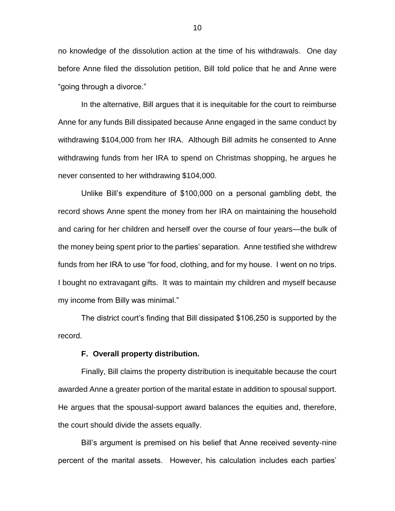no knowledge of the dissolution action at the time of his withdrawals. One day before Anne filed the dissolution petition, Bill told police that he and Anne were "going through a divorce."

In the alternative, Bill argues that it is inequitable for the court to reimburse Anne for any funds Bill dissipated because Anne engaged in the same conduct by withdrawing \$104,000 from her IRA. Although Bill admits he consented to Anne withdrawing funds from her IRA to spend on Christmas shopping, he argues he never consented to her withdrawing \$104,000.

Unlike Bill's expenditure of \$100,000 on a personal gambling debt, the record shows Anne spent the money from her IRA on maintaining the household and caring for her children and herself over the course of four years—the bulk of the money being spent prior to the parties' separation. Anne testified she withdrew funds from her IRA to use "for food, clothing, and for my house. I went on no trips. I bought no extravagant gifts. It was to maintain my children and myself because my income from Billy was minimal."

The district court's finding that Bill dissipated \$106,250 is supported by the record.

#### **F. Overall property distribution.**

Finally, Bill claims the property distribution is inequitable because the court awarded Anne a greater portion of the marital estate in addition to spousal support. He argues that the spousal-support award balances the equities and, therefore, the court should divide the assets equally.

Bill's argument is premised on his belief that Anne received seventy-nine percent of the marital assets. However, his calculation includes each parties'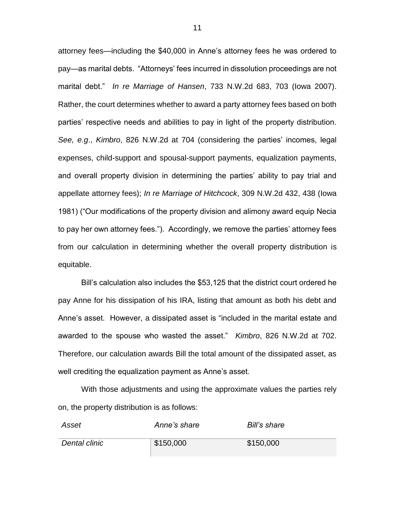attorney fees—including the \$40,000 in Anne's attorney fees he was ordered to pay—as marital debts. "Attorneys' fees incurred in dissolution proceedings are not marital debt." *In re Marriage of Hansen*, 733 N.W.2d 683, 703 (Iowa 2007). Rather, the court determines whether to award a party attorney fees based on both parties' respective needs and abilities to pay in light of the property distribution. *See, e.g*., *Kimbro*, 826 N.W.2d at 704 (considering the parties' incomes, legal expenses, child-support and spousal-support payments, equalization payments, and overall property division in determining the parties' ability to pay trial and appellate attorney fees); *In re Marriage of Hitchcock*, 309 N.W.2d 432, 438 (Iowa 1981) ("Our modifications of the property division and alimony award equip Necia to pay her own attorney fees."). Accordingly, we remove the parties' attorney fees from our calculation in determining whether the overall property distribution is equitable.

Bill's calculation also includes the \$53,125 that the district court ordered he pay Anne for his dissipation of his IRA, listing that amount as both his debt and Anne's asset. However, a dissipated asset is "included in the marital estate and awarded to the spouse who wasted the asset." *Kimbro*, 826 N.W.2d at 702. Therefore, our calculation awards Bill the total amount of the dissipated asset, as well crediting the equalization payment as Anne's asset.

With those adjustments and using the approximate values the parties rely on, the property distribution is as follows:

| Asset         | Anne's share | Bill's share |
|---------------|--------------|--------------|
| Dental clinic | \$150,000    | \$150,000    |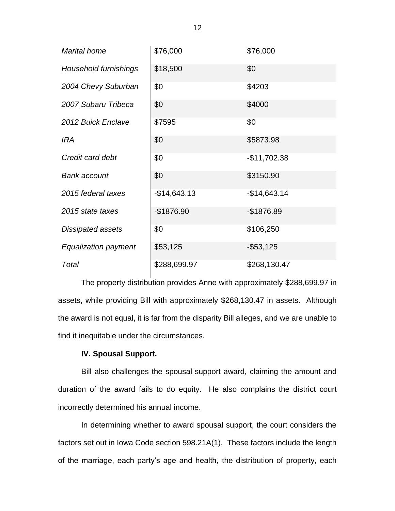| <b>Marital home</b>         | \$76,000      | \$76,000      |
|-----------------------------|---------------|---------------|
| Household furnishings       | \$18,500      | \$0           |
| 2004 Chevy Suburban         | \$0           | \$4203        |
| 2007 Subaru Tribeca         | \$0           | \$4000        |
| 2012 Buick Enclave          | \$7595        | \$0           |
| <b>IRA</b>                  | \$0           | \$5873.98     |
| Credit card debt            | \$0           | $-$11,702.38$ |
| <b>Bank account</b>         | \$0           | \$3150.90     |
| 2015 federal taxes          | $-$14,643.13$ | $-$14,643.14$ |
| 2015 state taxes            | $-$1876.90$   | $-$1876.89$   |
| Dissipated assets           | \$0           | \$106,250     |
| <b>Equalization payment</b> | \$53,125      | $-$ \$53,125  |
| Total                       | \$288,699.97  | \$268,130.47  |

The property distribution provides Anne with approximately \$288,699.97 in assets, while providing Bill with approximately \$268,130.47 in assets. Although the award is not equal, it is far from the disparity Bill alleges, and we are unable to find it inequitable under the circumstances.

# **IV. Spousal Support.**

Bill also challenges the spousal-support award, claiming the amount and duration of the award fails to do equity. He also complains the district court incorrectly determined his annual income.

In determining whether to award spousal support, the court considers the factors set out in Iowa Code section 598.21A(1). These factors include the length of the marriage, each party's age and health, the distribution of property, each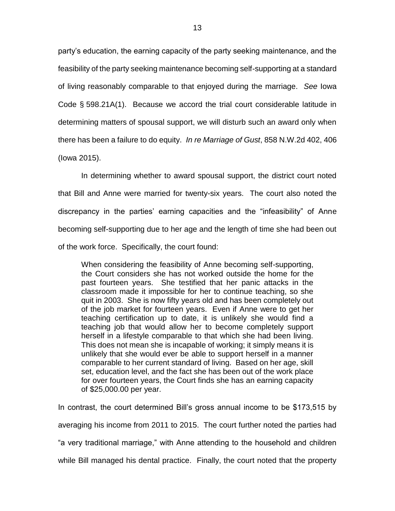party's education, the earning capacity of the party seeking maintenance, and the feasibility of the party seeking maintenance becoming self-supporting at a standard of living reasonably comparable to that enjoyed during the marriage. *See* Iowa Code § 598.21A(1). Because we accord the trial court considerable latitude in determining matters of spousal support, we will disturb such an award only when there has been a failure to do equity. *In re Marriage of Gust*, 858 N.W.2d 402, 406 (Iowa 2015).

In determining whether to award spousal support, the district court noted that Bill and Anne were married for twenty-six years. The court also noted the discrepancy in the parties' earning capacities and the "infeasibility" of Anne becoming self-supporting due to her age and the length of time she had been out of the work force. Specifically, the court found:

When considering the feasibility of Anne becoming self-supporting, the Court considers she has not worked outside the home for the past fourteen years. She testified that her panic attacks in the classroom made it impossible for her to continue teaching, so she quit in 2003. She is now fifty years old and has been completely out of the job market for fourteen years. Even if Anne were to get her teaching certification up to date, it is unlikely she would find a teaching job that would allow her to become completely support herself in a lifestyle comparable to that which she had been living. This does not mean she is incapable of working; it simply means it is unlikely that she would ever be able to support herself in a manner comparable to her current standard of living. Based on her age, skill set, education level, and the fact she has been out of the work place for over fourteen years, the Court finds she has an earning capacity of \$25,000.00 per year.

In contrast, the court determined Bill's gross annual income to be \$173,515 by averaging his income from 2011 to 2015. The court further noted the parties had "a very traditional marriage," with Anne attending to the household and children while Bill managed his dental practice. Finally, the court noted that the property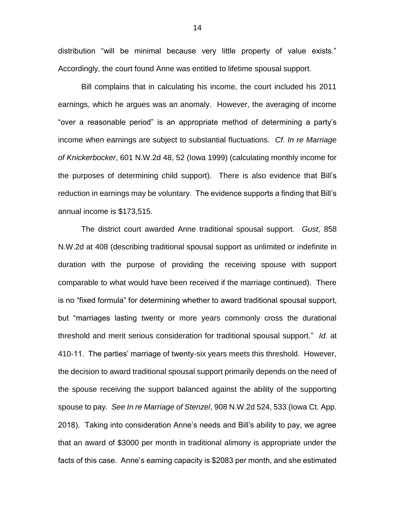distribution "will be minimal because very little property of value exists." Accordingly, the court found Anne was entitled to lifetime spousal support.

Bill complains that in calculating his income, the court included his 2011 earnings, which he argues was an anomaly. However, the averaging of income "over a reasonable period" is an appropriate method of determining a party's income when earnings are subject to substantial fluctuations. *Cf. In re Marriage of Knickerbocker*, 601 N.W.2d 48, 52 (Iowa 1999) (calculating monthly income for the purposes of determining child support). There is also evidence that Bill's reduction in earnings may be voluntary. The evidence supports a finding that Bill's annual income is \$173,515.

The district court awarded Anne traditional spousal support. *Gust*, 858 N.W.2d at 408 (describing traditional spousal support as unlimited or indefinite in duration with the purpose of providing the receiving spouse with support comparable to what would have been received if the marriage continued). There is no "fixed formula" for determining whether to award traditional spousal support, but "marriages lasting twenty or more years commonly cross the durational threshold and merit serious consideration for traditional spousal support." *Id.* at 410-11. The parties' marriage of twenty-six years meets this threshold. However, the decision to award traditional spousal support primarily depends on the need of the spouse receiving the support balanced against the ability of the supporting spouse to pay. *See In re Marriage of Stenzel*, 908 N.W.2d 524, 533 (Iowa Ct. App. 2018). Taking into consideration Anne's needs and Bill's ability to pay, we agree that an award of \$3000 per month in traditional alimony is appropriate under the facts of this case. Anne's earning capacity is \$2083 per month, and she estimated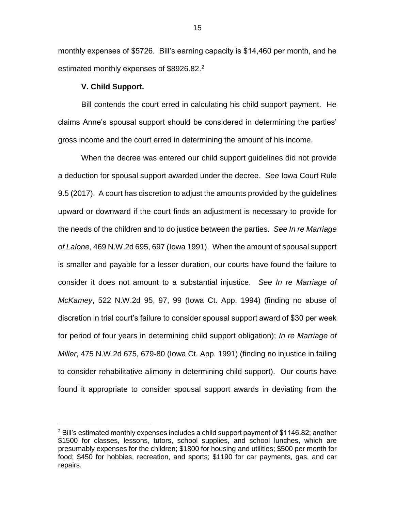monthly expenses of \$5726. Bill's earning capacity is \$14,460 per month, and he estimated monthly expenses of \$8926.82.<sup>2</sup>

## **V. Child Support.**

 $\overline{a}$ 

Bill contends the court erred in calculating his child support payment. He claims Anne's spousal support should be considered in determining the parties' gross income and the court erred in determining the amount of his income.

When the decree was entered our child support guidelines did not provide a deduction for spousal support awarded under the decree. *See* Iowa Court Rule 9.5 (2017). A court has discretion to adjust the amounts provided by the guidelines upward or downward if the court finds an adjustment is necessary to provide for the needs of the children and to do justice between the parties. *See In re Marriage of Lalone*, 469 N.W.2d 695, 697 (Iowa 1991). When the amount of spousal support is smaller and payable for a lesser duration, our courts have found the failure to consider it does not amount to a substantial injustice. *See In re Marriage of McKamey*, 522 N.W.2d 95, 97, 99 (Iowa Ct. App. 1994) (finding no abuse of discretion in trial court's failure to consider spousal support award of \$30 per week for period of four years in determining child support obligation); *In re Marriage of Miller*, 475 N.W.2d 675, 679-80 (Iowa Ct. App. 1991) (finding no injustice in failing to consider rehabilitative alimony in determining child support). Our courts have found it appropriate to consider spousal support awards in deviating from the

 $^2$  Bill's estimated monthly expenses includes a child support payment of \$1146.82; another \$1500 for classes, lessons, tutors, school supplies, and school lunches, which are presumably expenses for the children; \$1800 for housing and utilities; \$500 per month for food; \$450 for hobbies, recreation, and sports; \$1190 for car payments, gas, and car repairs.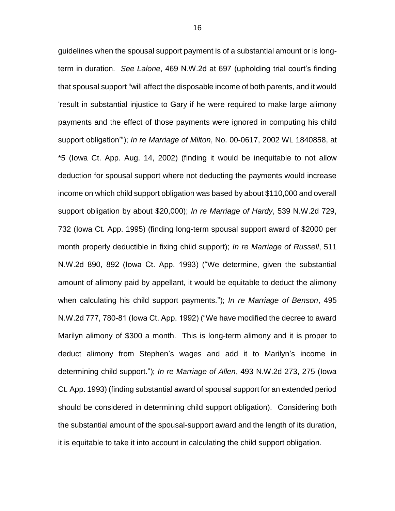guidelines when the spousal support payment is of a substantial amount or is longterm in duration. *See Lalone*, 469 N.W.2d at 697 (upholding trial court's finding that spousal support "will affect the disposable income of both parents, and it would 'result in substantial injustice to Gary if he were required to make large alimony payments and the effect of those payments were ignored in computing his child support obligation'"); *In re Marriage of Milton*, No. 00-0617, 2002 WL 1840858, at \*5 (Iowa Ct. App. Aug. 14, 2002) (finding it would be inequitable to not allow deduction for spousal support where not deducting the payments would increase income on which child support obligation was based by about \$110,000 and overall support obligation by about \$20,000); *In re Marriage of Hardy*, 539 N.W.2d 729, 732 (Iowa Ct. App. 1995) (finding long-term spousal support award of \$2000 per month properly deductible in fixing child support); *In re Marriage of Russell*, 511 N.W.2d 890, 892 (Iowa Ct. App. 1993) ("We determine, given the substantial amount of alimony paid by appellant, it would be equitable to deduct the alimony when calculating his child support payments."); *In re Marriage of Benson*, 495 N.W.2d 777, 780-81 (Iowa Ct. App. 1992) ("We have modified the decree to award Marilyn alimony of \$300 a month. This is long-term alimony and it is proper to deduct alimony from Stephen's wages and add it to Marilyn's income in determining child support."); *In re Marriage of Allen*, 493 N.W.2d 273, 275 (Iowa Ct. App. 1993) (finding substantial award of spousal support for an extended period should be considered in determining child support obligation). Considering both the substantial amount of the spousal-support award and the length of its duration, it is equitable to take it into account in calculating the child support obligation.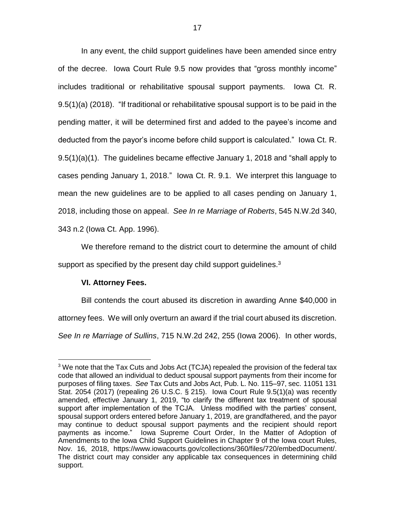In any event, the child support guidelines have been amended since entry of the decree. Iowa Court Rule 9.5 now provides that "gross monthly income" includes traditional or rehabilitative spousal support payments. Iowa Ct. R. 9.5(1)(a) (2018). "If traditional or rehabilitative spousal support is to be paid in the pending matter, it will be determined first and added to the payee's income and deducted from the payor's income before child support is calculated." Iowa Ct. R. 9.5(1)(a)(1). The guidelines became effective January 1, 2018 and "shall apply to cases pending January 1, 2018." Iowa Ct. R. 9.1. We interpret this language to mean the new guidelines are to be applied to all cases pending on January 1, 2018, including those on appeal. *See In re Marriage of Roberts*, 545 N.W.2d 340, 343 n.2 (Iowa Ct. App. 1996).

We therefore remand to the district court to determine the amount of child support as specified by the present day child support guidelines.<sup>3</sup>

# **VI. Attorney Fees.**

 $\overline{a}$ 

Bill contends the court abused its discretion in awarding Anne \$40,000 in attorney fees. We will only overturn an award if the trial court abused its discretion.

*See In re Marriage of Sullins*, 715 N.W.2d 242, 255 (Iowa 2006). In other words,

<sup>&</sup>lt;sup>3</sup> We note that the Tax Cuts and Jobs Act (TCJA) repealed the provision of the federal tax code that allowed an individual to deduct spousal support payments from their income for purposes of filing taxes. *See* Tax Cuts and Jobs Act, Pub. L. No. 115–97, sec. 11051 131 Stat. 2054 (2017) (repealing 26 U.S.C. § 215). Iowa Court Rule 9.5(1)(a) was recently amended, effective January 1, 2019, "to clarify the different tax treatment of spousal support after implementation of the TCJA. Unless modified with the parties' consent, spousal support orders entered before January 1, 2019, are grandfathered, and the payor may continue to deduct spousal support payments and the recipient should report payments as income." Iowa Supreme Court Order, In the Matter of Adoption of Amendments to the Iowa Child Support Guidelines in Chapter 9 of the Iowa court Rules, Nov. 16, 2018, https://www.iowacourts.gov/collections/360/files/720/embedDocument/. The district court may consider any applicable tax consequences in determining child support.